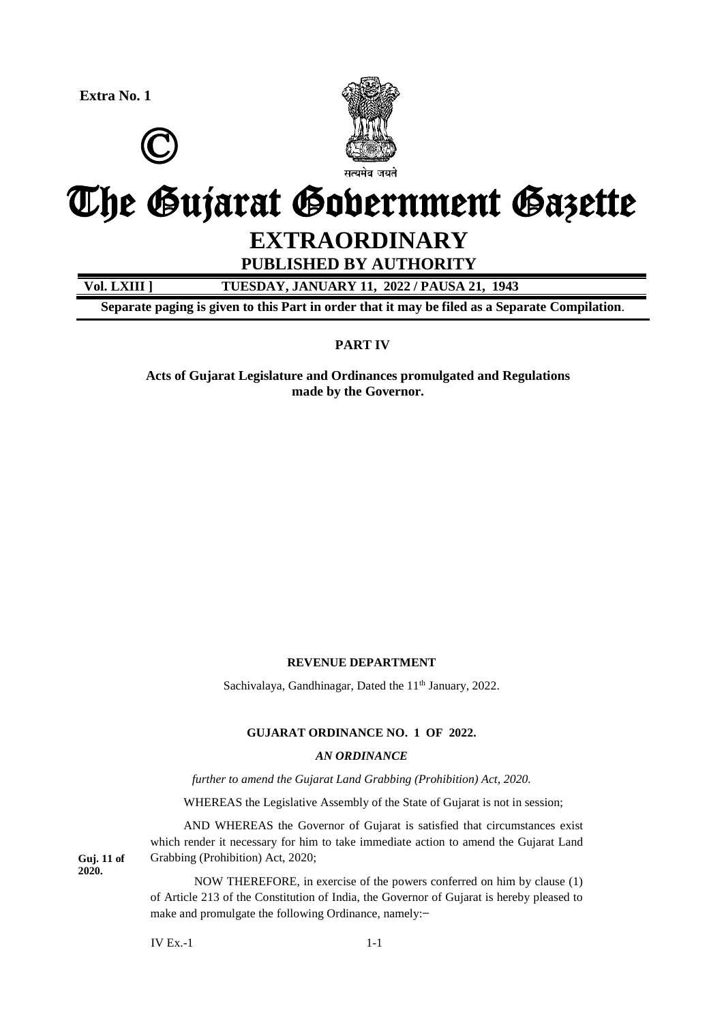**Extra No. 1**





# The Gujarat Government Gazette

# **EXTRAORDINARY**

**PUBLISHED BY AUTHORITY**

**Vol. LXIII ] TUESDAY, JANUARY 11, 2022 / PAUSA 21, 1943**

**Separate paging is given to this Part in order that it may be filed as a Separate Compilation**.

# **PART IV**

**Acts of Gujarat Legislature and Ordinances promulgated and Regulations made by the Governor.**

# **REVENUE DEPARTMENT**

Sachivalaya, Gandhinagar, Dated the 11<sup>th</sup> January, 2022.

# **GUJARAT ORDINANCE NO. 1 OF 2022.**

#### *AN ORDINANCE*

*further to amend the Gujarat Land Grabbing (Prohibition) Act, 2020.*

WHEREAS the Legislative Assembly of the State of Gujarat is not in session;

AND WHEREAS the Governor of Gujarat is satisfied that circumstances exist which render it necessary for him to take immediate action to amend the Gujarat Land Grabbing (Prohibition) Act, 2020;

NOW THEREFORE, in exercise of the powers conferred on him by clause (1) of Article 213 of the Constitution of India, the Governor of Gujarat is hereby pleased to make and promulgate the following Ordinance, namely:-

 $IV Ex.-1$  1-1

**Guj. 11 of 2020.**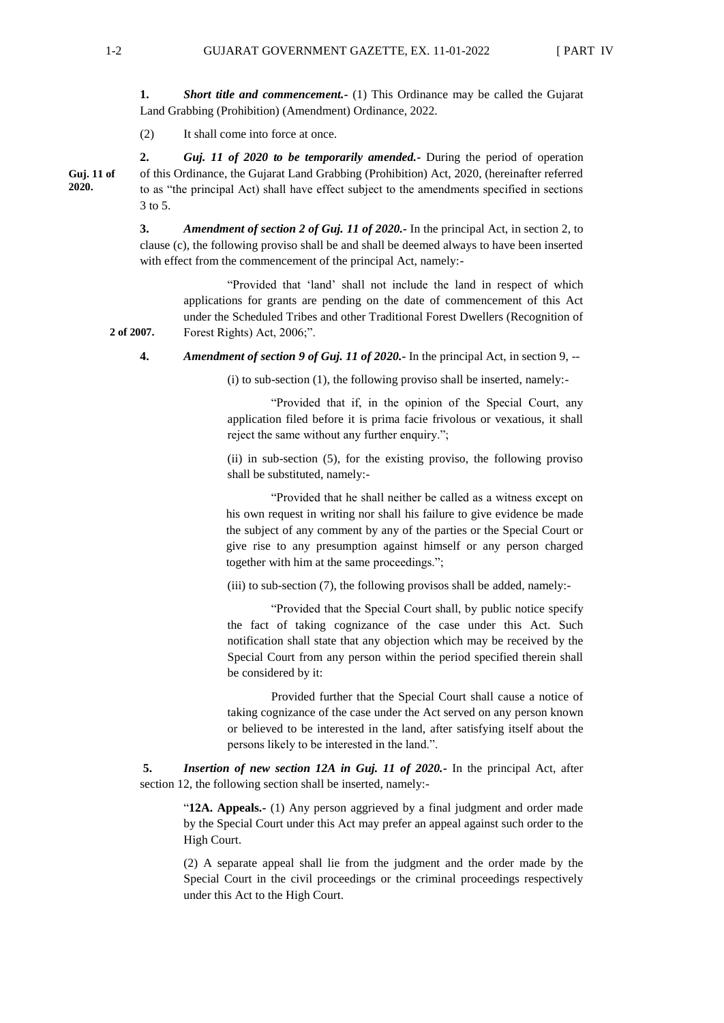**1. Short title and commencement.** (1) This Ordinance may be called the Gujarat Land Grabbing (Prohibition) (Amendment) Ordinance, 2022.

(2) It shall come into force at once.

**2.** *Guj. 11 of 2020 to be temporarily amended.-* During the period of operation of this Ordinance, the Gujarat Land Grabbing (Prohibition) Act, 2020, (hereinafter referred to as "the principal Act) shall have effect subject to the amendments specified in sections 3 to 5.

**3.** *Amendment of section 2 of Guj. 11 of 2020.-* In the principal Act, in section 2, to clause (c), the following proviso shall be and shall be deemed always to have been inserted with effect from the commencement of the principal Act, namely:-

"Provided that 'land' shall not include the land in respect of which applications for grants are pending on the date of commencement of this Act under the Scheduled Tribes and other Traditional Forest Dwellers (Recognition of Forest Rights) Act, 2006;".

**4.** *Amendment of section 9 of Guj. 11 of 2020.-* In the principal Act, in section 9, --

 $(i)$  to sub-section  $(1)$ , the following proviso shall be inserted, namely:-

"Provided that if, in the opinion of the Special Court, any application filed before it is prima facie frivolous or vexatious, it shall reject the same without any further enquiry.";

(ii) in sub-section (5), for the existing proviso, the following proviso shall be substituted, namely:-

"Provided that he shall neither be called as a witness except on his own request in writing nor shall his failure to give evidence be made the subject of any comment by any of the parties or the Special Court or give rise to any presumption against himself or any person charged together with him at the same proceedings.";

(iii) to sub-section (7), the following provisos shall be added, namely:-

"Provided that the Special Court shall, by public notice specify the fact of taking cognizance of the case under this Act. Such notification shall state that any objection which may be received by the Special Court from any person within the period specified therein shall be considered by it:

Provided further that the Special Court shall cause a notice of taking cognizance of the case under the Act served on any person known or believed to be interested in the land, after satisfying itself about the persons likely to be interested in the land.".

**5.** *Insertion of new section 12A in Guj. 11 of 2020.-* In the principal Act, after section 12, the following section shall be inserted, namely:-

"**12A. Appeals.-** (1) Any person aggrieved by a final judgment and order made by the Special Court under this Act may prefer an appeal against such order to the High Court.

(2) A separate appeal shall lie from the judgment and the order made by the Special Court in the civil proceedings or the criminal proceedings respectively under this Act to the High Court.

**2 of 2007.**

**Guj. 11 of 2020.**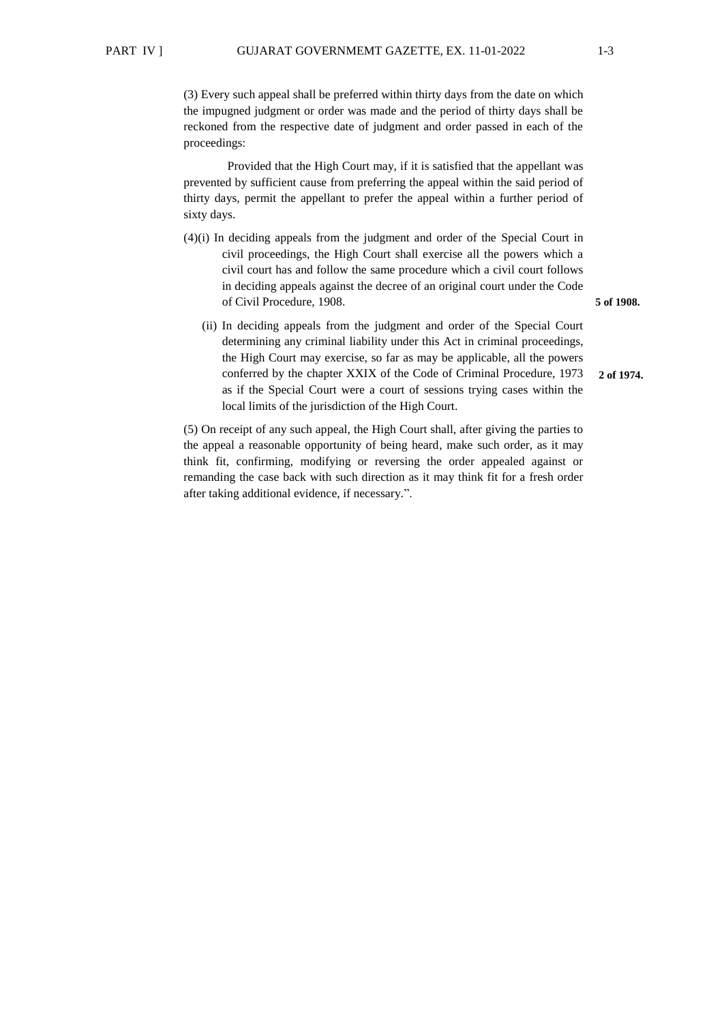(3) Every such appeal shall be preferred within thirty days from the date on which the impugned judgment or order was made and the period of thirty days shall be reckoned from the respective date of judgment and order passed in each of the proceedings:

Provided that the High Court may, if it is satisfied that the appellant was prevented by sufficient cause from preferring the appeal within the said period of thirty days, permit the appellant to prefer the appeal within a further period of sixty days.

- (4)(i) In deciding appeals from the judgment and order of the Special Court in civil proceedings, the High Court shall exercise all the powers which a civil court has and follow the same procedure which a civil court follows in deciding appeals against the decree of an original court under the Code of Civil Procedure, 1908.
	- (ii) In deciding appeals from the judgment and order of the Special Court determining any criminal liability under this Act in criminal proceedings, the High Court may exercise, so far as may be applicable, all the powers conferred by the chapter XXIX of the Code of Criminal Procedure, 1973 as if the Special Court were a court of sessions trying cases within the local limits of the jurisdiction of the High Court. **2 of 1974.**

(5) On receipt of any such appeal, the High Court shall, after giving the parties to the appeal a reasonable opportunity of being heard, make such order, as it may think fit, confirming, modifying or reversing the order appealed against or remanding the case back with such direction as it may think fit for a fresh order after taking additional evidence, if necessary.".

**5 of 1908.**